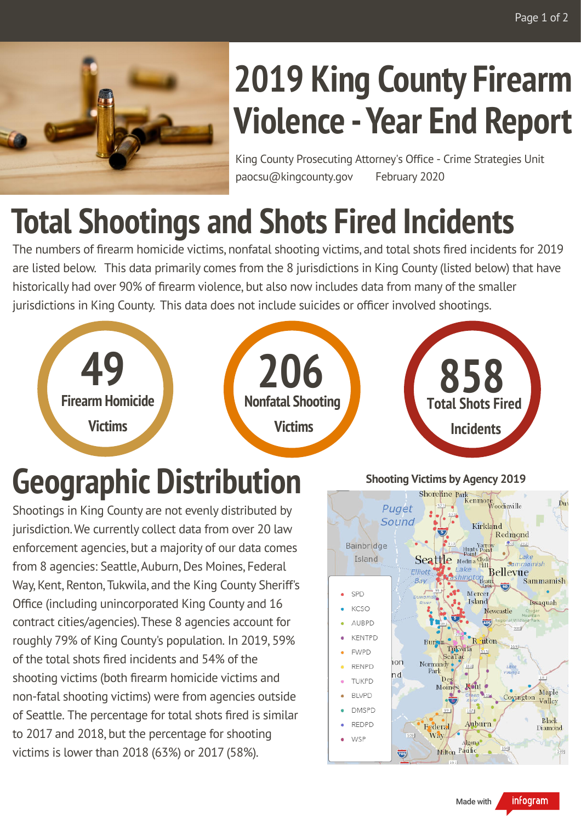

# **2019 King County Firearm Violence -Year End Report**

King County Prosecuting Attorney's Office - Crime Strategies Unit paocsu@kingcounty.gov February 2020

## **Total Shootings and Shots Fired Incidents**

The numbers of firearm homicide victims, nonfatal shooting victims, and total shots fired incidents for 2019 are listed below. This data primarily comes from the 8 jurisdictions in King County (listed below) that have historically had over 90% of firearm violence, but also now includes data from many of the smaller jurisdictions in King County. This data does not include suicides or officer involved shootings.



## **Geographic Distribution**

Shootings in King County are not evenly distributed by jurisdiction. We currently collect data from over 20 law enforcement agencies, but a majority of our data comes from 8 agencies: Seattle, Auburn, Des Moines, Federal Way, Kent, Renton, Tukwila, and the King County Sheriff's Office (including unincorporated King County and 16 contract cities/agencies).These 8 agencies account for roughly 79% of King County's population. In 2019, 59% of the total shots fired incidents and 54% of the shooting victims (both firearm homicide victims and non-fatal shooting victims) were from agencies outside of Seattle. The percentage for total shots fired is similar to 2017 and 2018, but the percentage for shooting victims is lower than 2018 (63%) or 2017 (58%).